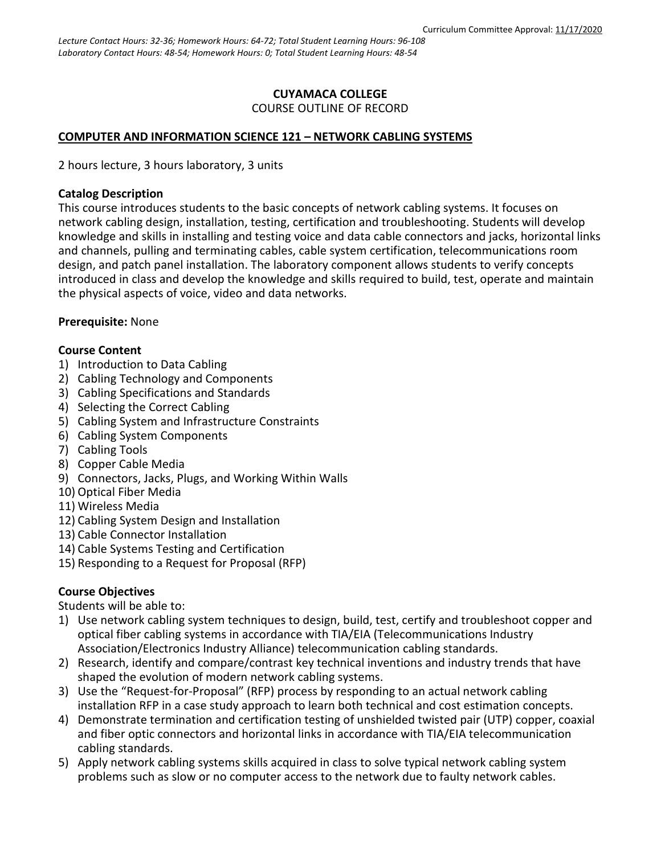## **CUYAMACA COLLEGE** COURSE OUTLINE OF RECORD

## **COMPUTER AND INFORMATION SCIENCE 121 – NETWORK CABLING SYSTEMS**

2 hours lecture, 3 hours laboratory, 3 units

## **Catalog Description**

This course introduces students to the basic concepts of network cabling systems. It focuses on network cabling design, installation, testing, certification and troubleshooting. Students will develop knowledge and skills in installing and testing voice and data cable connectors and jacks, horizontal links and channels, pulling and terminating cables, cable system certification, telecommunications room design, and patch panel installation. The laboratory component allows students to verify concepts introduced in class and develop the knowledge and skills required to build, test, operate and maintain the physical aspects of voice, video and data networks.

## **Prerequisite:** None

## **Course Content**

- 1) Introduction to Data Cabling
- 2) Cabling Technology and Components
- 3) Cabling Specifications and Standards
- 4) Selecting the Correct Cabling
- 5) Cabling System and Infrastructure Constraints
- 6) Cabling System Components
- 7) Cabling Tools
- 8) Copper Cable Media
- 9) Connectors, Jacks, Plugs, and Working Within Walls
- 10) Optical Fiber Media
- 11) Wireless Media
- 12) Cabling System Design and Installation
- 13) Cable Connector Installation
- 14) Cable Systems Testing and Certification
- 15) Responding to a Request for Proposal (RFP)

## **Course Objectives**

Students will be able to:

- 1) Use network cabling system techniques to design, build, test, certify and troubleshoot copper and optical fiber cabling systems in accordance with TIA/EIA (Telecommunications Industry Association/Electronics Industry Alliance) telecommunication cabling standards.
- 2) Research, identify and compare/contrast key technical inventions and industry trends that have shaped the evolution of modern network cabling systems.
- 3) Use the "Request-for-Proposal" (RFP) process by responding to an actual network cabling installation RFP in a case study approach to learn both technical and cost estimation concepts.
- 4) Demonstrate termination and certification testing of unshielded twisted pair (UTP) copper, coaxial and fiber optic connectors and horizontal links in accordance with TIA/EIA telecommunication cabling standards.
- 5) Apply network cabling systems skills acquired in class to solve typical network cabling system problems such as slow or no computer access to the network due to faulty network cables.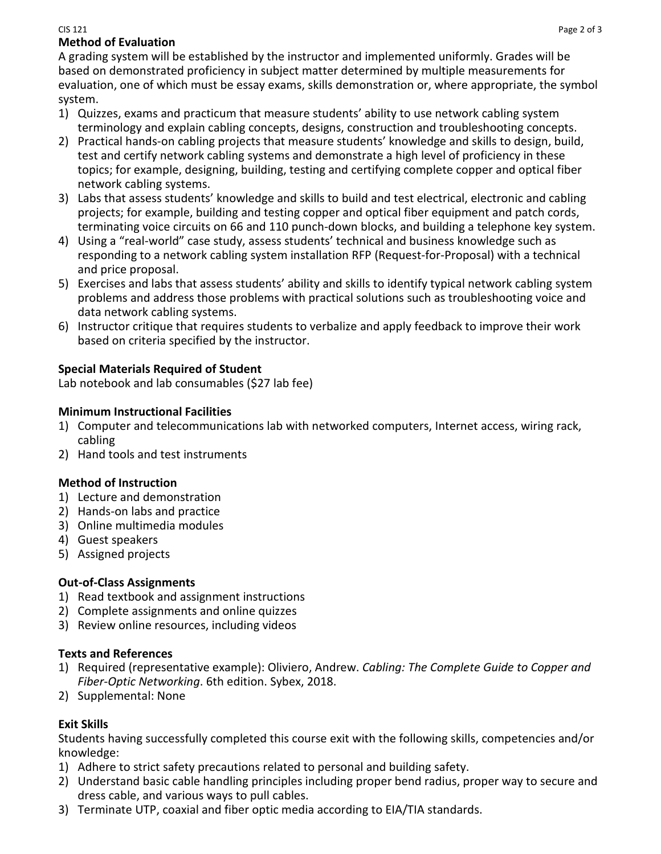#### CIS 121 Page 2 of 3 **Method of Evaluation**

A grading system will be established by the instructor and implemented uniformly. Grades will be based on demonstrated proficiency in subject matter determined by multiple measurements for evaluation, one of which must be essay exams, skills demonstration or, where appropriate, the symbol system.

- 1) Quizzes, exams and practicum that measure students' ability to use network cabling system terminology and explain cabling concepts, designs, construction and troubleshooting concepts.
- 2) Practical hands-on cabling projects that measure students' knowledge and skills to design, build, test and certify network cabling systems and demonstrate a high level of proficiency in these topics; for example, designing, building, testing and certifying complete copper and optical fiber network cabling systems.
- 3) Labs that assess students' knowledge and skills to build and test electrical, electronic and cabling projects; for example, building and testing copper and optical fiber equipment and patch cords, terminating voice circuits on 66 and 110 punch-down blocks, and building a telephone key system.
- 4) Using a "real-world" case study, assess students' technical and business knowledge such as responding to a network cabling system installation RFP (Request-for-Proposal) with a technical and price proposal.
- 5) Exercises and labs that assess students' ability and skills to identify typical network cabling system problems and address those problems with practical solutions such as troubleshooting voice and data network cabling systems.
- 6) Instructor critique that requires students to verbalize and apply feedback to improve their work based on criteria specified by the instructor.

# **Special Materials Required of Student**

Lab notebook and lab consumables (\$27 lab fee)

# **Minimum Instructional Facilities**

- 1) Computer and telecommunications lab with networked computers, Internet access, wiring rack, cabling
- 2) Hand tools and test instruments

# **Method of Instruction**

- 1) Lecture and demonstration
- 2) Hands-on labs and practice
- 3) Online multimedia modules
- 4) Guest speakers
- 5) Assigned projects

# **Out-of-Class Assignments**

- 1) Read textbook and assignment instructions
- 2) Complete assignments and online quizzes
- 3) Review online resources, including videos

## **Texts and References**

- 1) Required (representative example): Oliviero, Andrew. *Cabling: The Complete Guide to Copper and Fiber-Optic Networking*. 6th edition. Sybex, 2018.
- 2) Supplemental: None

# **Exit Skills**

Students having successfully completed this course exit with the following skills, competencies and/or knowledge:

- 1) Adhere to strict safety precautions related to personal and building safety.
- 2) Understand basic cable handling principles including proper bend radius, proper way to secure and dress cable, and various ways to pull cables.
- 3) Terminate UTP, coaxial and fiber optic media according to EIA/TIA standards.